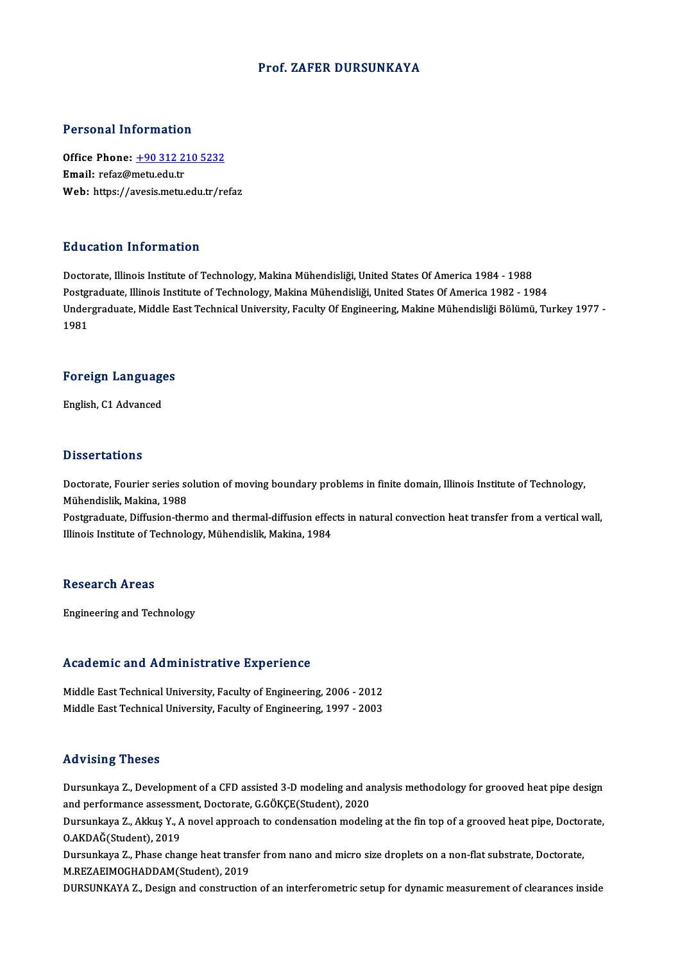#### Prof. ZAFER DURSUNKAYA

#### Personal Information

Personal Information<br>Office Phone: <u>+90 312 210 5232</u><br>Email: refer@metuedutr office Phone: <u>+90 312 2</u><br>Email: refaz@metu.edu.tr<br>Web: https://avesis.metu. Email: refaz@metu.edu.tr<br>Web: https://a[vesis.metu.edu.tr/re](tel:+90 312 210 5232)faz

#### Education Information

Doctorate, Illinois Institute of Technology, Makina Mühendisliği, United States Of America 1984 - 1988 Pu u sutrom minominusion<br>Doctorate, Illinois Institute of Technology, Makina Mühendisliği, United States Of America 1984 - 1988<br>Indergraduate, Illinois Institute of Technology, Makina Mühendisliği, United States Of America Undergraduate, Middle East Technical University, Faculty Of Engineering, Makine Mühendisliği Bölümü, Turkey 1977 -<br>1981 Postgi<br>Under<br>1981

## 1981<br>Foreign Languages F<mark>oreign Languag</mark>e<br>English, C1 Advanced

English, C1 Advanced<br>Dissertations

Dissertations<br>Doctorate, Fourier series solution of moving boundary problems in finite domain, Illinois Institute of Technology,<br>Mühandislik Makina, 1999 *Bassoa* darroms<br>Doctorate, Fourier series so<br>Mühendislik, Makina, 1988<br>Postsraduate, Diffusion the Doctorate, Fourier series solution of moving boundary problems in finite domain, Illinois Institute of Technology,<br>Mühendislik, Makina, 1988<br>Postgraduate, Diffusion-thermo and thermal-diffusion effects in natural convectio

Mühendislik, Makina, 1988<br>Postgraduate, Diffusion-thermo and thermal-diffusion effed<br>Illinois Institute of Technology, Mühendislik, Makina, 1984 Illinois Institute of Technology, Mühendislik, Makina, 1984<br>Research Areas

Engineering and Technology

# **Engineering and Tecnnology<br>Academic and Administrative Experience**

Academic and Administrative Experience<br>Middle East Technical University, Faculty of Engineering, 2006 - 2012<br>Middle Fast Technical University, Faculty of Engineering, 1997 - 2003 Middle East Technical University, Faculty of Engineering, 2006 - 2012<br>Middle East Technical University, Faculty of Engineering, 1997 - 2003

#### Advising Theses

Advising Theses<br>Dursunkaya Z., Development of a CFD assisted 3-D modeling and analysis methodology for grooved heat pipe design<br>and performange assessment Destarate C.COVCE(Student), 2020. raa viering in 1999<br>21 Dursunkaya Z., Development of a CFD assisted 3-D modeling and a<br>2020 Dursunkaya Z., Akkus X., A novel approach to condensation modeli Dursunkaya Z., Development of a CFD assisted 3-D modeling and analysis methodology for grooved heat pipe design<br>and performance assessment, Doctorate, G.GÖKÇE(Student), 2020<br>Dursunkaya Z., Akkuş Y., A novel approach to con

and performance assessm<br>Dursunkaya Z., Akkuş Y., A<br>O.AKDAĞ(Student), 2019<br>Dursunkaya Z., Phase shat Dursunkaya Z., Akkuş Y., A novel approach to condensation modeling at the fin top of a grooved heat pipe, Doctor<br>O.AKDAĞ(Student), 2019<br>Dursunkaya Z., Phase change heat transfer from nano and micro size droplets on a non-f

O.AKDAĞ(Student), 2019<br>Dursunkaya Z., Phase change heat transfe<br>M.REZAEIMOGHADDAM(Student), 2019<br>DURSUNKAYA Z., Desirn and senstwatio Dursunkaya Z., Phase change heat transfer from nano and micro size droplets on a non-flat substrate, Doctorate,<br>M.REZAEIMOGHADDAM(Student), 2019<br>DURSUNKAYA Z., Design and construction of an interferometric setup for dynami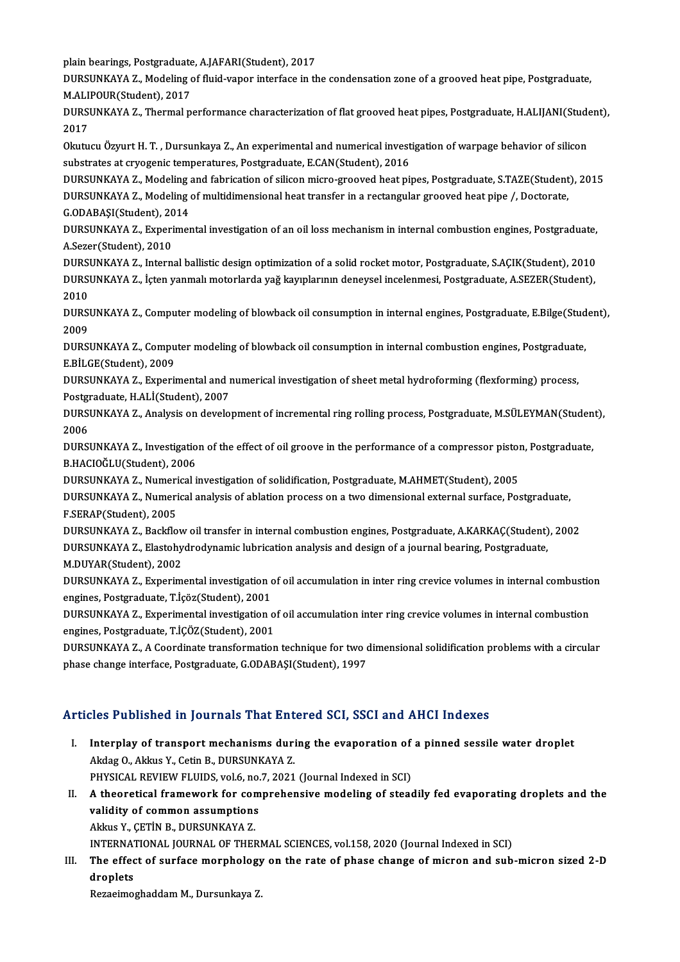plain bearings, Postgraduate, A.JAFARI(Student), 2017<br>PURSUNKAVA 7, Modeling of fluid vanor interface in th

DURSUNKAYA Z., Modeling of fluid-vapor interface in the condensation zone of a grooved heat pipe, Postgraduate,<br>M.ALIPOUR(Student), 2017 plain bearings, Postgraduate<br>DURSUNKAYA Z., Modeling<br>M.ALIPOUR(Student), 2017<br>DUBSUNKAYA Z., Thermal n DURSUNKAYA Z., Modeling of fluid-vapor interface in the condensation zone of a grooved heat pipe, Postgraduate,<br>M.ALIPOUR(Student), 2017<br>DURSUNKAYA Z., Thermal performance characterization of flat grooved heat pipes, Postg

M.ALI<br>DURS<br>2017<br>Olartu DURSUNKAYA Z., Thermal performance characterization of flat grooved heat pipes, Postgraduate, H.ALIJANI(Stude<br>2017<br>Okutucu Özyurt H. T. , Dursunkaya Z., An experimental and numerical investigation of warpage behavior of si

2017<br>Okutucu Özyurt H. T. , Dursunkaya Z., An experimental and numerical invest<br>substrates at cryogenic temperatures, Postgraduate, E.CAN(Student), 2016<br>DURSUNKAXA Z., Modeling and fabrication of silican misre groeved beet Okutucu Özyurt H. T. , Dursunkaya Z., An experimental and numerical investigation of warpage behavior of silicon<br>substrates at cryogenic temperatures, Postgraduate, E.CAN(Student), 2016<br>DURSUNKAYA Z., Modeling af multidime

substrates at cryogenic temperatures, Postgraduate, E.CAN(Student), 2016<br>DURSUNKAYA Z., Modeling and fabrication of silicon micro-grooved heat pipes, Postgraduate, S.TAZE(Student<br>DURSUNKAYA Z., Modeling of multidimensional

DURSUNKAYA Z., Modeling<br>DURSUNKAYA Z., Modeling<br>G.ODABAŞI(Student), 2014<br>DUBSUNKAYA Z., Evnerimer DURSUNKAYA Z., Modeling of multidimensional heat transfer in a rectangular grooved heat pipe /, Doctorate,<br>G.ODABAŞI(Student), 2014<br>DURSUNKAYA Z., Experimental investigation of an oil loss mechanism in internal combustion

G.ODABAŞI(Student), 20<br>DURSUNKAYA Z., Experi<br>A.Sezer(Student), 2010<br>DUBSUNKAYA Z. Intern DURSUNKAYA Z., Experimental investigation of an oil loss mechanism in internal combustion engines, Postgraduate,<br>A.Sezer(Student), 2010<br>DURSUNKAYA Z., Internal ballistic design optimization of a solid rocket motor, Postgra

A.Sezer(Student), 2010<br>DURSUNKAYA Z., Internal ballistic design optimization of a solid rocket motor, Postgraduate, S.AÇIK(Student), 2010<br>DURSUNKAYA Z., İçten yanmalı motorlarda yağ kayıplarının deneysel incelenmesi, Postg DURS<br>DURS<br>2010<br>DURSI DURSUNKAYA Z., İçten yanmalı motorlarda yağ kayıplarının deneysel incelenmesi, Postgraduate, A.SEZER(Student),<br>2010<br>DURSUNKAYA Z., Computer modeling of blowback oil consumption in internal engines, Postgraduate, E.Bilge(St

2010<br>DURS!<br>2009<br>DURS! DURSUNKAYA Z., Computer modeling of blowback oil consumption in internal engines, Postgraduate, E.Bilge(Stud<br>2009<br>DURSUNKAYA Z., Computer modeling of blowback oil consumption in internal combustion engines, Postgraduate,<br>E

2009<br>DURSUNKAYA Z., Computer modeling of blowback oil consumption in internal combustion engines, Postgraduate,<br>E.BİLGE(Student), 2009 DURSUNKAYA Z., Computer modeling of blowback oil consumption in internal combustion engines, Postgraduat<br>E.BİLGE(Student), 2009<br>DURSUNKAYA Z., Experimental and numerical investigation of sheet metal hydroforming (flexformi

E.BİLGE(Student), 2009<br>DURSUNKAYA Z., Experimental and r<br>Postgraduate, H.ALİ(Student), 2007<br>DURSUNKAYA Z. Analysis on davala DURSUNKAYA Z., Experimental and numerical investigation of sheet metal hydroforming (flexforming) process,<br>Postgraduate, H.ALİ(Student), 2007<br>DURSUNKAYA Z., Analysis on development of incremental ring rolling process, Post

Postgraduate, H.ALİ(Student), 2007<br>DURSUNKAYA Z., Analysis on development of incremental ring rolling process, Postgraduate, M.SÜLEYMAN(Student),<br>2006 DURSUNKAYA Z., Analysis on development of incremental ring rolling process, Postgraduate, M.SÜLEYMAN(Studen<br>2006<br>DURSUNKAYA Z., Investigation of the effect of oil groove in the performance of a compressor piston, Postgradu

2006<br>DURSUNKAYA Z., Investigatio<br>B.HACIOĞLU(Student), 2006<br>DURSUNKAYA Z. Numorical i DURSUNKAYA Z., Investigation of the effect of oil groove in the performance of a compressor pistor<br>B.HACIOĞLU(Student), 2006<br>DURSUNKAYA Z., Numerical investigation of solidification, Postgraduate, M.AHMET(Student), 2005<br>DU

DURSUNKAYA Z., Numerical investigation of solidification, Postgraduate, M.AHMET(Student), 2005

B.HACIOĞLU(Student), 2006<br>DURSUNKAYA Z., Numerical investigation of solidification, Postgraduate, M.AHMET(Student), 2005<br>DURSUNKAYA Z., Numerical analysis of ablation process on a two dimensional external surface, Postgrad DURSUNKAYA Z., Numerical analysis of ablation process on a two dimensional external surface, Postgraduate,<br>F.SERAP(Student), 2005<br>DURSUNKAYA Z., Backflow oil transfer in internal combustion engines, Postgraduate, A.KARKAÇ(

F.SERAP(Student), 2005<br>DURSUNKAYA Z., Backflow oil transfer in internal combustion engines, Postgraduate, A.KARKAÇ(Student)<br>DURSUNKAYA Z., Elastohydrodynamic lubrication analysis and design of a journal bearing, Postgradua DURSUNKAYA Z., Backflow<br>DURSUNKAYA Z., Elastohy<br>M.DUYAR(Student), 2002<br>DUBSUNKAYA Z. Evnorim DURSUNKAYA Z., Elastohydrodynamic lubrication analysis and design of a journal bearing, Postgraduate,<br>M.DUYAR(Student), 2002<br>DURSUNKAYA Z., Experimental investigation of oil accumulation in inter ring crevice volumes in in

M.DUYAR(Student), 2002<br>DURSUNKAYA Z., Experimental investigation of<br>engines, Postgraduate, T.İçöz(Student), 2001<br>DURSUNKAYA Z., Evnerimental investigation o DURSUNKAYA Z., Experimental investigation of oil accumulation in inter ring crevice volumes in internal combustio<br>engines, Postgraduate, T.İçöz(Student), 2001<br>DURSUNKAYA Z., Experimental investigation of oil accumulation i

engines, Postgraduate, T.İçöz(Student), 2001<br>DURSUNKAYA Z., Experimental investigation o<br>engines, Postgraduate, T.İÇÖZ(Student), 2001<br>DURSUNKAYA Z. A Goordinate transformation DURSUNKAYA Z., Experimental investigation of oil accumulation inter ring crevice volumes in internal combustion<br>engines, Postgraduate, T.İÇÖZ(Student), 2001<br>DURSUNKAYA Z., A Coordinate transformation technique for two dime

engines, Postgraduate, T.İÇÖZ(Student), 2001<br>DURSUNKAYA Z., A Coordinate transformation technique for two o<br>phase change interface, Postgraduate, G.ODABAŞI(Student), 1997

# phase change interface, Postgraduate, G.ODABAŞI(Student), 1997<br>Articles Published in Journals That Entered SCI, SSCI and AHCI Indexes

- rticles Published in Journals That Entered SCI, SSCI and AHCI Indexes<br>I. Interplay of transport mechanisms during the evaporation of a pinned sessile water droplet<br>Aldes O. Aldey Y. Cetin B. DURSUNKAYA 7 Akdag O., Akkus Y., Cetin B., DURSUNKAYA Z.<br>Akdag O., Akkus Y., Cetin B., DURSUNKAYA Z.<br>PHYSICAL PEVIEW ELUIDS .vel 6, ps 7, 2021 Interplay of transport mechanisms during the evaporation of<br>Akdag O., Akkus Y., Cetin B., DURSUNKAYA Z.<br>PHYSICAL REVIEW FLUIDS, vol.6, no.7, 2021 (Journal Indexed in SCI)<br>A theoratical framework for comprehensive modeling Akdag O., Akkus Y., Cetin B., DURSUNKAYA Z.<br>PHYSICAL REVIEW FLUIDS, vol.6, no.7, 2021 (Journal Indexed in SCI)<br>II. A theoretical framework for comprehensive modeling of steadily fed evaporating droplets and the<br>volidity of
- PHYSICAL REVIEW FLUIDS, vol.6, no.<br>A theoretical framework for com<br>validity of common assumptions<br>Althus Y. CETIN B. DUBSUNKAYA Z A theoretical framework for cor<br>validity of common assumptions<br>Akkus Y., ÇETİN B., DURSUNKAYA Z.<br>INTERNATIONAL JOURNAL OF THEI validity of common assumptions<br>Akkus Y., ÇETİN B., DURSUNKAYA Z.<br>INTERNATIONAL JOURNAL OF THERMAL SCIENCES, vol.158, 2020 (Journal Indexed in SCI)<br>The effect of surface mornhology on the rate of phase shange of misron and

Akkus Y., ÇETİN B., DURSUNKAYA Z.<br>INTERNATIONAL JOURNAL OF THERMAL SCIENCES, vol.158, 2020 (Journal Indexed in SCI)<br>III. The effect of surface morphology on the rate of phase change of micron and sub-micron sized 2-D<br>dr INTERNAT<br>The effec<br>droplets<br>Beresimes The effect of surface morphology<br>droplets<br>Rezaeimoghaddam M., Dursunkaya Z.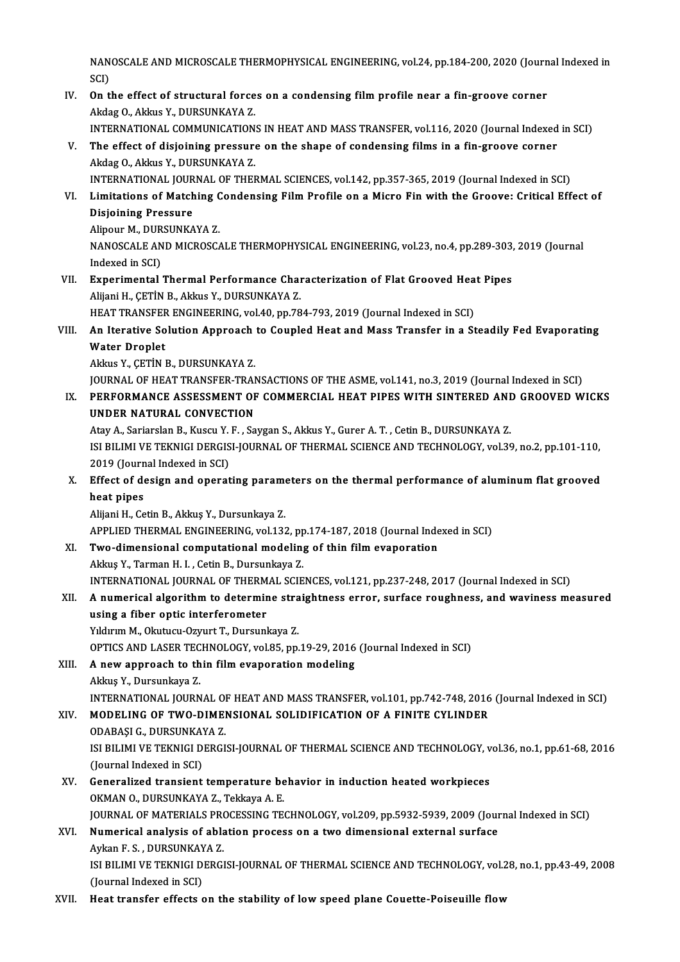NANOSCALE AND MICROSCALE THERMOPHYSICAL ENGINEERING, vol.24, pp.184-200, 2020 (Journal Indexed in<br>SCD NAN<br>SCI)<br>On t NANOSCALE AND MICROSCALE THERMOPHYSICAL ENGINEERING, vol.24, pp.184-200, 2020 (Journ<br>SCI)<br>IV. On the effect of structural forces on a condensing film profile near a fin-groove corner<br>Algaz O. Algaz V. DUBSUNKAVA 7

SCI)<br>On the effect of structural force<br>Akdag O., Akkus Y., DURSUNKAYA Z.<br>INTERNATIONAL COMMUNICATION

Akdag O., Akkus Y., DURSUNKAYA Z.<br>INTERNATIONAL COMMUNICATIONS IN HEAT AND MASS TRANSFER, vol.116, 2020 (Journal Indexed in SCI)

Akdag O., Akkus Y., DURSUNKAYA Z.<br>INTERNATIONAL COMMUNICATIONS IN HEAT AND MASS TRANSFER, vol.116, 2020 (Journal Indexed<br>V. The effect of disjoining pressure on the shape of condensing films in a fin-groove corner<br>Akdag O. Akdag O., Akkus Y., DURSUNKAYA Z.<br>INTERNATIONAL JOURNAL OF THERMAL SCIENCES, vol.142, pp.357-365, 2019 (Journal Indexed in SCI) The effect of disjoining pressure on the shape of condensing films in a fin-groove corner<br>Akdag O., Akkus Y., DURSUNKAYA Z.<br>INTERNATIONAL JOURNAL OF THERMAL SCIENCES, vol.142, pp.357-365, 2019 (Journal Indexed in SCI)<br>I im

Akdag O., Akkus Y., DURSUNKAYA Z.<br>INTERNATIONAL JOURNAL OF THERMAL SCIENCES, vol.142, pp.357-365, 2019 (Journal Indexed in SCI)<br>VI. Limitations of Matching Condensing Film Profile on a Micro Fin with the Groove: Critic Disjoining Pressure Limitations of Matching (<br>Disjoining Pressure<br>Alipour M., DURSUNKAYA Z.<br>NANOSCALE AND MICPOSC

Alipour M., DURSUNKAYA Z.

NANOSCALE AND MICROSCALE THERMOPHYSICAL ENGINEERING, vol.23, no.4, pp.289-303, 2019 (Journal Indexed in SCI) NANOSCALE AND MICROSCALE THERMOPHYSICAL ENGINEERING, vol.23, no.4, pp.289-303,<br>Indexed in SCI)<br>VII. Experimental Thermal Performance Characterization of Flat Grooved Heat Pipes<br>Alliani H. GETIN B. Aldre V. DUBSUNKAVA 7

Indexed in SCI)<br><mark>Experimental Thermal Performance Cha</mark>l<br>Alijani H., ÇETİN B., Akkus Y., DURSUNKAYA Z.<br>HEAT TRANSEER ENCINEERINC .vol 40 pp 79 Experimental Thermal Performance Characterization of Flat Grooved Hea<br>Alijani H., ÇETİN B., Akkus Y., DURSUNKAYA Z.<br>HEAT TRANSFER ENGINEERING, vol.40, pp.784-793, 2019 (Journal Indexed in SCI)<br>An Itanative Solution Annroec

### Alijani H., ÇETİN B., Akkus Y., DURSUNKAYA Z.<br>HEAT TRANSFER ENGINEERING, vol.40, pp.784-793, 2019 (Journal Indexed in SCI)<br>VIII. An Iterative Solution Approach to Coupled Heat and Mass Transfer in a Steadily Fed Evapor HEAT TRANSFER ENGINEERING, vol.40, pp.784-793, 2019 (Journal Indexed in SCI)<br>An Iterative Solution Approach to Coupled Heat and Mass Transfer in a St<br>Water Droplet<br>Akkus Y., CETIN B., DURSUNKAYA Z. An Iterative Solution Approach<br>Water Droplet<br>Akkus Y., ÇETİN B., DURSUNKAYA Z.<br>JOUPMAL OF HEAT TRANSEER TRAI Water Droplet<br>Akkus Y., ÇETİN B., DURSUNKAYA Z.<br>JOURNAL OF HEAT TRANSFER-TRANSACTIONS OF THE ASME, vol.141, no.3, 2019 (Journal Indexed in SCI)<br>REREORMANCE ASSESSMENT OF COMMERCIAL HEAT PIRES WITH SINTERED AND CROQVED W

### Akkus Y., ÇETİN B., DURSUNKAYA Z.<br>JOURNAL OF HEAT TRANSFER-TRANSACTIONS OF THE ASME, vol.141, no.3, 2019 (Journal Indexed in SCI)<br>IX. PERFORMANCE ASSESSMENT OF COMMERCIAL HEAT PIPES WITH SINTERED AND GROOVED WICKS **JOURNAL OF HEAT TRANSFER-TRAN<br>PERFORMANCE ASSESSMENT OF<br>UNDER NATURAL CONVECTION<br>Atau A. Sarjarelan P. Kuseu V. E. Sa** PERFORMANCE ASSESSMENT OF COMMERCIAL HEAT PIPES WITH SINTERED ANI<br>UNDER NATURAL CONVECTION<br>Atay A., Sariarslan B., Kuscu Y. F. , Saygan S., Akkus Y., Gurer A. T. , Cetin B., DURSUNKAYA Z.<br>ISLEH IMI VE TEKNICI DERCISI JOURN

UNDER NATURAL CONVECTION<br>Atay A., Sariarslan B., Kuscu Y. F. , Saygan S., Akkus Y., Gurer A. T. , Cetin B., DURSUNKAYA Z.<br>ISI BILIMI VE TEKNIGI DERGISI-JOURNAL OF THERMAL SCIENCE AND TECHNOLOGY, vol.39, no.2, pp.101-110,<br>2 Atay A., Sariarslan B., Kuscu Y.<br>ISI BILIMI VE TEKNIGI DERGIS<br>2019 (Journal Indexed in SCI)<br>Effect of design and onerat ISI BILIMI VE TEKNIGI DERGISI-JOURNAL OF THERMAL SCIENCE AND TECHNOLOGY, vol.39, no.2, pp.101-110,<br>2019 (Journal Indexed in SCI)<br>X. Effect of design and operating parameters on the thermal performance of aluminum flat groo

### 2019 (Journ<br>Effect of de<br>heat pipes<br>Alijoni H. Co Effect of design and operating parame<br>heat pipes<br>Alijani H., Cetin B., Akkuş Y., Dursunkaya Z.<br>APRLIED.THERMAL ENCINEERING vol 12: heat pipes<br>Alijani H., Cetin B., Akkuş Y., Dursunkaya Z.<br>APPLIED THERMAL ENGINEERING, vol.132, pp.174-187, 2018 (Journal Indexed in SCI)<br>Ture dimensional computational modeling of thin film eveneration

Alijani H., Cetin B., Akkuş Y., Dursunkaya Z.<br>APPLIED THERMAL ENGINEERING, vol.132, pp.174-187, 2018 (Journal Inde<br>XI. Two-dimensional computational modeling of thin film evaporation<br>Althus Y. Tarman H. L. Catin B. Dursunk APPLIED THERMAL ENGINEERING, vol.132, pp<br>Two-dimensional computational modeling<br>Akkuş Y., Tarman H. I. , Cetin B., Dursunkaya Z.<br>INTERNATIONAL JOURNAL OF THERMAL SCIE Two-dimensional computational modeling of thin film evaporation<br>Akkuş Y., Tarman H. I. , Cetin B., Dursunkaya Z.<br>INTERNATIONAL JOURNAL OF THERMAL SCIENCES, vol.121, pp.237-248, 2017 (Journal Indexed in SCI)<br>A numerisel els

## Akkuş Y., Tarman H. I. , Cetin B., Dursunkaya Z.<br>INTERNATIONAL JOURNAL OF THERMAL SCIENCES, vol.121, pp.237-248, 2017 (Journal Indexed in SCI)<br>XII. A numerical algorithm to determine straightness error, surface roughness, INTERNATIONAL JOURNAL OF THERM<br>A numerical algorithm to determine<br>using a fiber optic interferometer<br>Viduum M. Okutusu Oxuut T. Dursun

Yıldırım M., Okutucu-Ozyurt T., Dursunkaya Z. OPTICS AND LASER TECHNOLOGY, vol.85, pp.19-29, 2016 (Journal Indexed in SCI)

### XIII. A new approach to thin film evaporation modeling

AkkuşY.,Dursunkaya Z.

INTERNATIONAL JOURNAL OF HEAT AND MASS TRANSFER, vol.101, pp.742-748, 2016 (Journal Indexed in SCI)

### XIV. MODELING OF TWO-DIMENSIONAL SOLIDIFICATION OF A FINITE CYLINDER

INTERNATIONAL JOURNAL O<br>**MODELING OF TWO-DIME**<br>ODABAŞI G., DURSUNKAYA Z.<br>ISLBILIMI VE TEKNICI DERCI ISI BILIMI VE TEKNIGI DERGISI-JOURNAL OF THERMAL SCIENCE AND TECHNOLOGY, vol.36, no.1, pp.61-68, 2016<br>(Journal Indexed in SCI) (DABAŞI G., DURSUNKA)<br>ISI BILIMI VE TEKNIGI D.<br>(Journal Indexed in SCI)<br>Conoralized transient ISI BILIMI VE TEKNIGI DERGISI-JOURNAL OF THERMAL SCIENCE AND TECHNOLOGY, v<br>(Journal Indexed in SCI)<br>XV. Generalized transient temperature behavior in induction heated workpieces<br> $QVMAN Q$ , DUBSUNKAVA Z, Tekkaya A, E

## (Journal Indexed in SCI)<br>Generalized transient temperature be<br>OKMAN O., DURSUNKAYA Z., Tekkaya A. E.<br>JOUPNAL OF MATERIALS PROCESSING TE Generalized transient temperature behavior in induction heated workpieces<br>OKMAN O., DURSUNKAYA Z., Tekkaya A. E.<br>JOURNAL OF MATERIALS PROCESSING TECHNOLOGY, vol.209, pp.5932-5939, 2009 (Journal Indexed in SCI)<br>Numerical an OKMAN O., DURSUNKAYA Z., Tekkaya A. E.<br>JOURNAL OF MATERIALS PROCESSING TECHNOLOGY, vol.209, pp.5932-5939, 2009 (Jour<br>XVI. Numerical analysis of ablation process on a two dimensional external surface<br>Aykan F. S. , DURSUNKAY

- **JOURNAL OF MATERIALS PRONUMERT**<br>**Numerical analysis of abla**<br>Aykan F. S. , DURSUNKAYA Z.<br>ISL BU IMLVE TEKNICL DEPCI Numerical analysis of ablation process on a two dimensional external surface<br>Aykan F. S. , DURSUNKAYA Z.<br>ISI BILIMI VE TEKNIGI DERGISI-JOURNAL OF THERMAL SCIENCE AND TECHNOLOGY, vol.28, no.1, pp.43-49, 2008<br>(Journal Indove Aykan F. S. , DURSUNKAY<br>ISI BILIMI VE TEKNIGI D<br>(Journal Indexed in SCI)<br>Heat transfor effects
- (Journal Indexed in SCI)<br>XVII. Heat transfer effects on the stability of low speed plane Couette-Poiseuille flow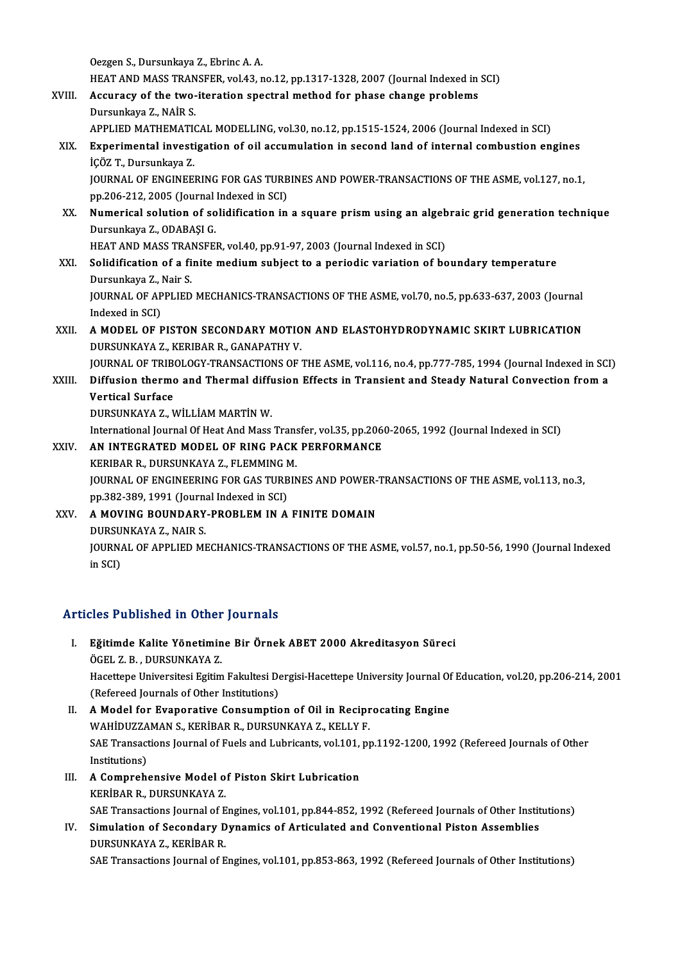OezgenS.,Dursunkaya Z.,EbrincA.A.

Oezgen S., Dursunkaya Z., Ebrinc A. A.<br>HEAT AND MASS TRANSFER, vol.43, no.12, pp.1317-1328, 2007 (Journal Indexed in SCI)<br>Accuracy of the two iteration spectral method for phase shange problems.

- Oezgen S., Dursunkaya Z., Ebrinc A. A.<br>HEAT AND MASS TRANSFER, vol.43, no.12, pp.1317-1328, 2007 (Journal Indexed in<br>XVIII. Accuracy of the two-iteration spectral method for phase change problems<br>Dursunkaya 7. NAIP S. HEAT AND MASS TRAN<br>Accuracy of the two-<br>Dursunkaya Z., NAİR S.<br>APPLIED MATUEMATIC Accuracy of the two-iteration spectral method for phase change problems<br>Dursunkaya Z., NAİR S.<br>APPLIED MATHEMATICAL MODELLING, vol.30, no.12, pp.1515-1524, 2006 (Journal Indexed in SCI)
	-

### XIX. Experimental investigation of oil accumulation in second land of internal combustion engines İÇÖZ T.,Dursunkaya Z. Experimental investigation of oil accumulation in second land of internal combustion engines<br>iÇÖZ T., Dursunkaya Z.<br>JOURNAL OF ENGINEERING FOR GAS TURBINES AND POWER-TRANSACTIONS OF THE ASME, vol.127, no.1,<br>np 206 212, 200

içöz T., Dursunkaya Z.<br>JOURNAL OF ENGINEERING FOR GAS TURB<br>pp.206-212, 2005 (Journal Indexed in SCI)<br>Numerisel selution of Selidification in JOURNAL OF ENGINEERING FOR GAS TURBINES AND POWER-TRANSACTIONS OF THE ASME, vol.127, no.1,<br>pp.206-212, 2005 (Journal Indexed in SCI)<br>XX. Numerical solution of solidification in a square prismusing an algebraic grid generat

pp.206-212, 2005 (Journal<br><mark>Numerical solution of so</mark><br>Dursunkaya Z., ODABAŞI G.<br>HEAT AND MASS TRANSEE Numerical solution of solidification in a square prism using an algeb<br>Dursunkaya Z., ODABAŞI G.<br>HEAT AND MASS TRANSFER, vol.40, pp.91-97, 2003 (Journal Indexed in SCI)<br>Solidification of a finite medium subject to a noviadi

Dursunkaya Z., ODABAŞI G.<br>HEAT AND MASS TRANSFER, vol.40, pp.91-97, 2003 (Journal Indexed in SCI)<br>XXI. Solidification of a finite medium subject to a periodic variation of boundary temperature<br>Dursunkaya Z. Noir S. HEAT AND MASS TRAI<br>Solidification of a fi<br>Dursunkaya Z., Nair S.<br>JOUPNAL OF APPLIED Solidification of a finite medium subject to a periodic variation of boundary temperature<br>Dursunkaya Z., Nair S.<br>JOURNAL OF APPLIED MECHANICS-TRANSACTIONS OF THE ASME, vol.70, no.5, pp.633-637, 2003 (Journal<br>Indeved in SCD Dursunkaya Z., I<br>JOURNAL OF AP<br>Indexed in SCI)<br>A MODEL OF L

JOURNAL OF APPLIED MECHANICS-TRANSACTIONS OF THE ASME, vol.70, no.5, pp.633-637, 2003 (Journal<br>Indexed in SCI)<br>XXII. A MODEL OF PISTON SECONDARY MOTION AND ELASTOHYDRODYNAMIC SKIRT LUBRICATION

## Indexed in SCI)<br>XXII. A MODEL OF PISTON SECONDARY MOTION AND ELASTOHYDRODYNAMIC SKIRT LUBRICATION<br>DURSUNKAYA Z...KERIBAR R.. GANAPATHY V. A MODEL OF PISTON SECONDARY MOTION AND ELASTOHYDRODYNAMIC SKIRT LUBRICATION<br>DURSUNKAYA Z., KERIBAR R., GANAPATHY V.<br>JOURNAL OF TRIBOLOGY-TRANSACTIONS OF THE ASME, vol.116, no.4, pp.777-785, 1994 (Journal Indexed in SCI)<br>Di

DURSUNKAYA Z., KERIBAR R., GANAPATHY V.<br>JOURNAL OF TRIBOLOGY-TRANSACTIONS OF THE ASME, vol.116, no.4, pp.777-785, 1994 (Journal Indexed in SCI<br>XXIII. Diffusion thermo and Thermal diffusion Effects in Transient and Stea **JOURNAL OF TRIB<br>Diffusion therme<br>Vertical Surface<br>DUBSUNKAVA 7- V** Diffusion thermo and Thermal diff<mark>uxed</mark><br>Vertical Surface<br>DURSUNKAYA Z., WİLLİAM MARTİN W.<br>International Journal Of Heat And Mass Vertical Surface<br>DURSUNKAYA Z., WİLLİAM MARTİN W.<br>International Journal Of Heat And Mass Transfer, vol.35, pp.2060-2065, 1992 (Journal Indexed in SCI)<br>AN INTECRATED MODEL OF RINC RACK REREORMANCE

## DURSUNKAYA Z., WİLLİAM MARTİN W.<br>International Journal Of Heat And Mass Transfer, vol.35, pp.206<br>XXIV. AN INTEGRATED MODEL OF RING PACK PERFORMANCE<br>EREPEAR B. DURSUNKAYA Z. ELEMMING M

International Journal Of Heat And Mass Trans<br>**AN INTEGRATED MODEL OF RING PACK<br>KERIBAR R., DURSUNKAYA Z., FLEMMING M.**<br>JOURNAL OF ENCINEERING FOR GAS TURRIN AN INTEGRATED MODEL OF RING PACK PERFORMANCE<br>KERIBAR R., DURSUNKAYA Z., FLEMMING M.<br>JOURNAL OF ENGINEERING FOR GAS TURBINES AND POWER-TRANSACTIONS OF THE ASME, vol.113, no.3,<br>nn 282-289-1991 (Journal Indoved in SCD. KERIBAR R., DURSUNKAYA Z., FLEMMING N<br>JOURNAL OF ENGINEERING FOR GAS TURB<br>pp.382-389, 1991 (Journal Indexed in SCI)<br>A MOVING POUNDARY PROBLEM IN A JOURNAL OF ENGINEERING FOR GAS TURBINES AND POWER-<br>pp.382-389, 1991 (Journal Indexed in SCI)<br>XXV. A MOVING BOUNDARY-PROBLEM IN A FINITE DOMAIN

pp.382-389, 1991 (Journal Indexed in SCI)<br>A MOVING BOUNDARY-PROBLEM IN A FINITE DOMAIN<br>DURSUNKAYA Z., NAIR S.

A MOVING BOUNDARY-PROBLEM IN A FINITE DOMAIN<br>DURSUNKAYA Z., NAIR S.<br>JOURNAL OF APPLIED MECHANICS-TRANSACTIONS OF THE ASME, vol.57, no.1, pp.50-56, 1990 (Journal Indexed<br>in SCD DURSU<br>JOURNA<br>in SCI)

# Articles Published in Other Journals

- rticles Published in Other Journals<br>I. Bğitimde Kalite Yönetimine Bir Örnek ABET 2000 Akreditasyon Süreci<br>ÖCEL 7 B. DURSUNKAVA 7 össe 1 ustronou in ottor<br>Eğitimde Kalite Yönetimin<br>ÖGEL Z.B. , DURSUNKAYA Z.<br>Hacettana Universitesi Egitim ÖGEL Z. B. , DURSUNKAYA Z.<br>Hacettepe Universitesi Egitim Fakultesi Dergisi-Hacettepe University Journal Of Education, vol.20, pp.206-214, 2001 (Refereed Journals of Other Institutions) Hacettepe Universitesi Egitim Fakultesi Dergisi-Hacettepe University Journal Of<br>(Refereed Journals of Other Institutions)<br>II. A Model for Evaporative Consumption of Oil in Reciprocating Engine<br>WAHIDIIZZAMANS KERIRAR R DURS
- (Refereed Journals of Other Institutions)<br>A Model for Evaporative Consumption of Oil in Recipr<br>WAHİDUZZAMAN S., KERİBAR R., DURSUNKAYA Z., KELLY F.<br>SAE Transastions Journal of Eucle and Lubrisanta val 101 pr A Model for Evaporative Consumption of Oil in Reciprocating Engine<br>WAHİDUZZAMAN S., KERİBAR R., DURSUNKAYA Z., KELLY F.<br>SAE Transactions Journal of Fuels and Lubricants, vol.101, pp.1192-1200, 1992 (Refereed Journals of Ot WAHİDUZZA<br>SAE Transact<br>Institutions)<br>A Compreh SAE Transactions Journal of Fuels and Lubricants, vol.101,<br>III. A Comprehensive Model of Piston Skirt Lubrication<br>EXPRESENCAVA 7
- Institutions)<br>A Comprehensive Model o<br>KERİBAR R., DURSUNKAYA Z.<br>SAE Transestions Journal of E KERİBAR R., DURSUNKAYA Z.<br>SAE Transactions Journal of Engines, vol.101, pp.844-852, 1992 (Refereed Journals of Other Institutions) KERİBAR R., DURSUNKAYA Z.<br>SAE Transactions Journal of Engines, vol.101, pp.844-852, 1992 (Refereed Journals of Other Instit<br>IV. Simulation of Secondary Dynamics of Articulated and Conventional Piston Assemblies<br>DURSUNKAYA
- SAE Transactions Journal of E<br>Simulation of Secondary D<br>DURSUNKAYA Z., KERİBAR R.<br>SAE Transactions Journal of E

DURSUNKAYA Z., KERİBAR R.<br>SAE Transactions Journal of Engines, vol.101, pp.853-863, 1992 (Refereed Journals of Other Institutions)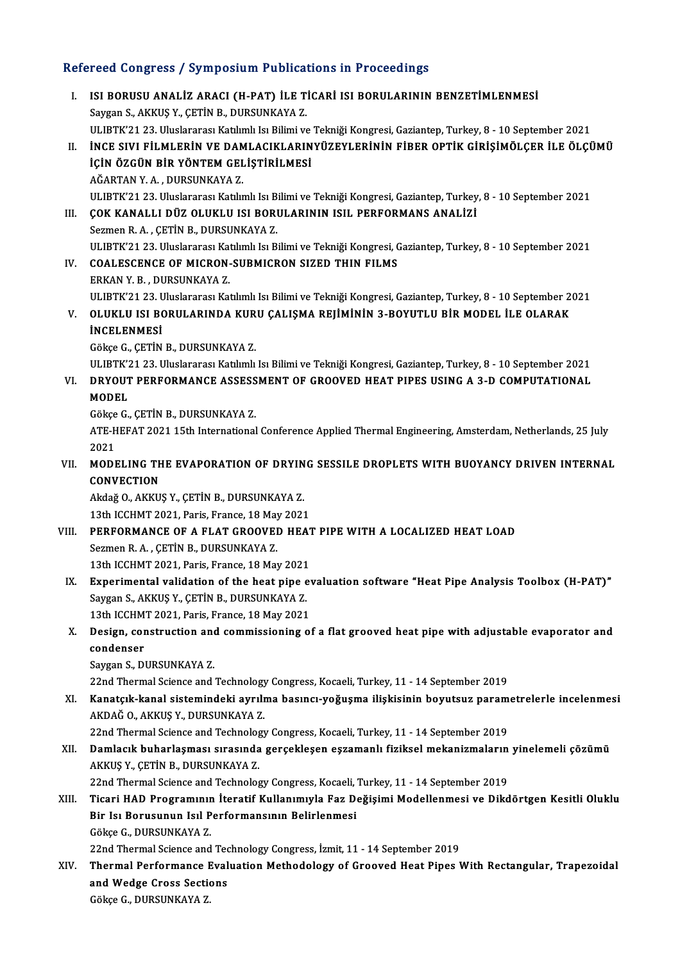### Refereed Congress / Symposium Publications in Proceedings

- efereed Congress / Symposium Publications in Proceedings<br>I. ISI BORUSU ANALİZ ARACI (H-PAT) İLE TİCARİ ISI BORULARININ BENZETİMLENMESİ<br>Saygan S. AKKUS V. CETİN B. DURSUNKAYA Z Saman Saygan S., AKKUŞ Y., ÇETİN B., DURSUNKAYA Z.<br>Saygan S., AKKUŞ Y., ÇETİN B., DURSUNKAYA Z.<br>ULIPTE'21 22. Uluslararası Katlımlı ku Bilimi ve ISI BORUSU ANALİZ ARACI (H-PAT) İLE TİCARİ ISI BORULARININ BENZETİMLENMESİ<br>Saygan S., AKKUŞ Y., ÇETİN B., DURSUNKAYA Z.<br>ULIBTK'21 23. Uluslararası Katılımlı Isı Bilimi ve Tekniği Kongresi, Gaziantep, Turkey, 8 - 10 Septemb Saygan S., AKKUŞ Y., ÇETİN B., DURSUNKAYA Z.<br>ULIBTK'21 23. Uluslararası Katılımlı Isı Bilimi ve Tekniği Kongresi, Gaziantep, Turkey, 8 - 10 September 2021<br>II. İNCE SIVI FİLMLERİN VE DAMLACIKLARINYÜZEYLERİNİN FİBER OPTİ ULIBTK'21 23. Uluslararası Katılımlı Isı Bilimi ve<br>İNCE SIVI FİLMLERİN VE DAMLACIKLARIN<br>İÇİN ÖZGÜN BİR YÖNTEM GELİŞTİRİLMESİ<br>AĞAPTAN VA DUPSUNKAYA 7 İNCE SIVI FİLMLERİN VE DAM<br>İÇİN ÖZGÜN BİR YÖNTEM GEL<br>AĞARTAN Y. A. , DURSUNKAYA Z.<br>III IPTY'21.22. Unglararaz Katlu İÇİN ÖZGÜN BİR YÖNTEM GELİŞTİRİLMESİ<br>AĞARTAN Y. A. , DURSUNKAYA Z.<br>ULIBTK'21 23. Uluslararası Katılımlı Isı Bilimi ve Tekniği Kongresi, Gaziantep, Turkey, 8 - 10 September 2021<br>COK KANALLI DÜZ OLUKLU ISL BORULARININ ISU, R AĞARTAN Y. A. , DURSUNKAYA Z.<br>ULIBTK'21 23. Uluslararası Katılımlı Isı Bilimi ve Tekniği Kongresi, Gaziantep, Turkey<br>III. COK KANALLI DÜZ OLUKLU ISI BORULARININ ISIL PERFORMANS ANALİZİ ULIBTK'21 23. Uluslararası Katılımlı Isı B.<br>ÇOK KANALLI DÜZ OLUKLU ISI BORI<br>Sezmen R. A. , ÇETİN B., DURSUNKAYA Z.<br>ULIPTK'21 22. Uluslararası Katılımlı Isı B. UI. COK KANALLI DÜZ OLUKLU ISI BORULARININ ISIL PERFORMANS ANALIZI<br>Sezmen R. A. , ÇETİN B., DURSUNKAYA Z.<br>ULIBTK'21 23. Uluslararası Katılımlı Isı Bilimi ve Tekniği Kongresi, Gaziantep, Turkey, 8 - 10 September 2021 Sezmen R. A. , ÇETİN B., DURSUNKAYA Z.<br>ULIBTK'21 23. Uluslararası Katılımlı Isı Bilimi ve Tekniği Kongresi, COALESCENCE OF MICRON-SUBMICRON SIZED THIN FILMS<br>FRKAN V B. DURSUNKAYA Z ULIBTK'21 23. Uluslararası Kat<br>COALESCENCE OF MICRON-<br>ERKAN Y. B. , DURSUNKAYA Z.<br>III IPTK'21 22. Uluslararası Kat COALESCENCE OF MICRON-SUBMICRON SIZED THIN FILMS<br>ERKAN Y. B. , DURSUNKAYA Z.<br>ULIBTK'21 23. Uluslararası Katılımlı Isı Bilimi ve Tekniği Kongresi, Gaziantep, Turkey, 8 - 10 September 2021<br>OLUKLU ISL RORULARINDA KURU CALISMA ERKAN Y. B. , DURSUNKAYA Z.<br>ULIBTK'21 23. Uluslararası Katılımlı Isı Bilimi ve Tekniği Kongresi, Gaziantep, Turkey, 8 - 10 September 2<br>V. OLUKLU ISI BORULARINDA KURU ÇALIŞMA REJİMİNİN 3-BOYUTLU BİR MODEL İLE OLARAK<br>İNC ULIBTK'21 23. U<br><mark>OLUKLU ISI B(</mark><br>İNCELENMESİ OLUKLU ISI BORULARINDA KUR<br>İNCELENMESİ<br>Gökçe G., ÇETİN B., DURSUNKAYA Z.<br>III IPTE'21 22. Huslararası Katlımlı İNCELENMESİ<br>Gökçe G., ÇETİN B., DURSUNKAYA Z.<br>ULIBTK'21 23. Uluslararası Katılımlı Isı Bilimi ve Tekniği Kongresi, Gaziantep, Turkey, 8 - 10 September 2021<br>DRYOUT REREORMANCE ASSESSMENT OE CROQVED HEAT RIRES USINC A 2 D CO Gökçe G., ÇETİN B., DURSUNKAYA Z.<br>ULIBTK'21 23. Uluslararası Katılımlı Isı Bilimi ve Tekniği Kongresi, Gaziantep, Turkey, 8 - 10 September 2021<br>VI. DRYOUT PERFORMANCE ASSESSMENT OF GROOVED HEAT PIPES USING A 3-D COMPUT ULIBTK'Z<br><mark>DRYOUT</mark><br>MODEL<br>Gälse C **DRYOUT PERFORMANCE ASSESS<br>MODEL<br>Gökçe G., ÇETİN B., DURSUNKAYA Z.**<br>ATE HEEAT 2021 15th International **MODEL**<br>Gökçe G., ÇETİN B., DURSUNKAYA Z.<br>ATE-HEFAT 2021 15th International Conference Applied Thermal Engineering, Amsterdam, Netherlands, 25 July<br>2021 Gökçe<br>ATE-H<br>2021<br>MODI ATE-HEFAT 2021 15th International Conference Applied Thermal Engineering, Amsterdam, Netherlands, 25 July<br>2021<br>VII. MODELING THE EVAPORATION OF DRYING SESSILE DROPLETS WITH BUOYANCY DRIVEN INTERNAL 2021<br>MODELING TH<br>CONVECTION<br>Aldež O. AKKU MODELING THE EVAPORATION OF DRYIN<br>CONVECTION<br>Akdağ O., AKKUŞ Y., ÇETİN B., DURSUNKAYA Z.<br>12th ICCUMT 2021, Boris Erange 18 May 2022 13th ICCHMT2021, CETIN B., DURSUNKAYA<br>13th ICCHMT 2021, Paris, France, 18 May 2021 Akdağ O., AKKUŞ Y., ÇETİN B., DURSUNKAYA Z.<br>13th ICCHMT 2021, Paris, France, 18 May 2021<br>VIII. PERFORMANCE OF A FLAT GROOVED HEAT PIPE WITH A LOCALIZED HEAT LOAD<br>Sezmen B.A., CETİN B. DURSUNKAYA Z. 13th ICCHMT 2021, Paris, France, 18 May<br>**PERFORMANCE OF A FLAT GROOVEI**<br>Sezmen R.A. , ÇETİN B., DURSUNKAYA Z.<br>12th ICCHMT 2021, Paris, Erance, 18 Mai PERFORMANCE OF A FLAT GROOVED HEAT<br>Sezmen R. A. , ÇETİN B., DURSUNKAYA Z.<br>13th ICCHMT 2021, Paris, France, 18 May 2021<br>Experimental validation of the beat pine at Sezmen R. A. , ÇETİN B., DURSUNKAYA Z.<br>13th ICCHMT 2021, Paris, France, 18 May 2021<br>IX. Experimental validation of the heat pipe evaluation software "Heat Pipe Analysis Toolbox (H-PAT)"<br>Saygan S. AKKUS V. CETİN P. DURSUNKA 13th ICCHMT 2021, Paris, France, 18 May 2021<br>Experimental validation of the heat pipe 6<br>Saygan S., AKKUŞ Y., ÇETİN B., DURSUNKAYA Z.<br>12th ICCHMT 2021, Paris, Erange, 18 May 2021 Experimental validation of the heat pipe evaluation S., AKKUS Y., CETIN B., DURSUNKAYA Z.<br>13th ICCHMT 2021, Paris, France, 18 May 2021<br>Design, construction and commissioning of Saygan S., AKKUŞ Y., ÇETİN B., DURSUNKAYA Z.<br>13th ICCHMT 2021, Paris, France, 18 May 2021<br>X. Design, construction and commissioning of a flat grooved heat pipe with adjustable evaporator and<br>condenser 13th ICCHM<br>Design, cor<br>condenser<br>Saygan S. Di Design, construction and<br>condenser<br>Saygan S., DURSUNKAYA Z.<br>22nd Thermal Science and i condenser<br>Saygan S., DURSUNKAYA Z.<br>22nd Thermal Science and Technology Congress, Kocaeli, Turkey, 11 - 14 September 2019<br>Kanatalk kanal sistemindeki evrylme basıncı veğusme ilişkisinin beyyteyr nevem Saygan S., DURSUNKAYA Z.<br>22nd Thermal Science and Technology Congress, Kocaeli, Turkey, 11 - 14 September 2019<br>XI. Kanatçık-kanal sistemindeki ayrılma basıncı-yoğuşma ilişkisinin boyutsuz parametrelerle incelenmesi<br>AKDAĞ O 22nd Thermal Science and Technology<br>**Kanatçık-kanal sistemindeki ayrılı**<br>AKDAĞ O., AKKUŞ Y., DURSUNKAYA Z.<br><sup>22nd</sup> Thermal Science and Technology 22nd Thermal Science and Technology Congress, Kocaeli, Turkey, 11 - 14 September 2019 AKDAĞ 0., AKKUŞ Y., DURSUNKAYA Z.<br>22nd Thermal Science and Technology Congress, Kocaeli, Turkey, 11 - 14 September 2019<br>XII. Damlacık buharlaşması sırasında gerçekleşen eşzamanlı fiziksel mekanizmaların yinelemeli çözü 22nd Thermal Science and Technolog<br>Damlacık buharlaşması sırasında<br>AKKUŞ Y., ÇETİN B., DURSUNKAYA Z.<br>22nd Thermal Science and Technolog Damlacık buharlaşması sırasında gerçekleşen eşzamanlı fiziksel mekanizmaların<br>AKKUŞ Y., ÇETİN B., DURSUNKAYA Z.<br>22nd Thermal Science and Technology Congress, Kocaeli, Turkey, 11 - 14 September 2019<br>Tisari HAD Programının İ AKKUŞ Y., ÇETİN B., DURSUNKAYA Z.<br>22nd Thermal Science and Technology Congress, Kocaeli, Turkey, 11 - 14 September 2019<br>XIII. Ticari HAD Programının İteratif Kullanımıyla Faz Değişimi Modellenmesi ve Dikdörtgen Kesitli 22nd Thermal Science and Technology Congress, Kocaeli, Turkey, 11 - 14 September 2019<br>Ticari HAD Programının İteratif Kullanımıyla Faz Değişimi Modellenmesi ve Dike<br>Bir Isı Borusunun Isıl Performansının Belirlenmesi<br>Gökce Ticari HAD Programınır<br>Bir Isı Borusunun Isıl P<br>Gökçe G., DURSUNKAYA Z.<br>22nd Thermal Science and Bir Isı Borusunun Isıl Performansının Belirlenmesi<br>Gökçe G., DURSUNKAYA Z.<br>22nd Thermal Science and Technology Congress, İzmit, 11 - 14 September 2019<br>Thermal Berformanes Evalustion Methodology of Crooved Heat Bines I Gökçe G., DURSUNKAYA Z.<br>22nd Thermal Science and Technology Congress, İzmit, 11 - 14 September 2019<br>XIV. Thermal Performance Evaluation Methodology of Grooved Heat Pipes With Rectangular, Trapezoidal 22nd Thermal Science and Technical Performance Eval<br>and Wedge Cross Sections<br>Câkee C. DURSUNKAYA 7
	- Thermal Performance I<br>and Wedge Cross Sectic<br>Gökçe G., DURSUNKAYA Z.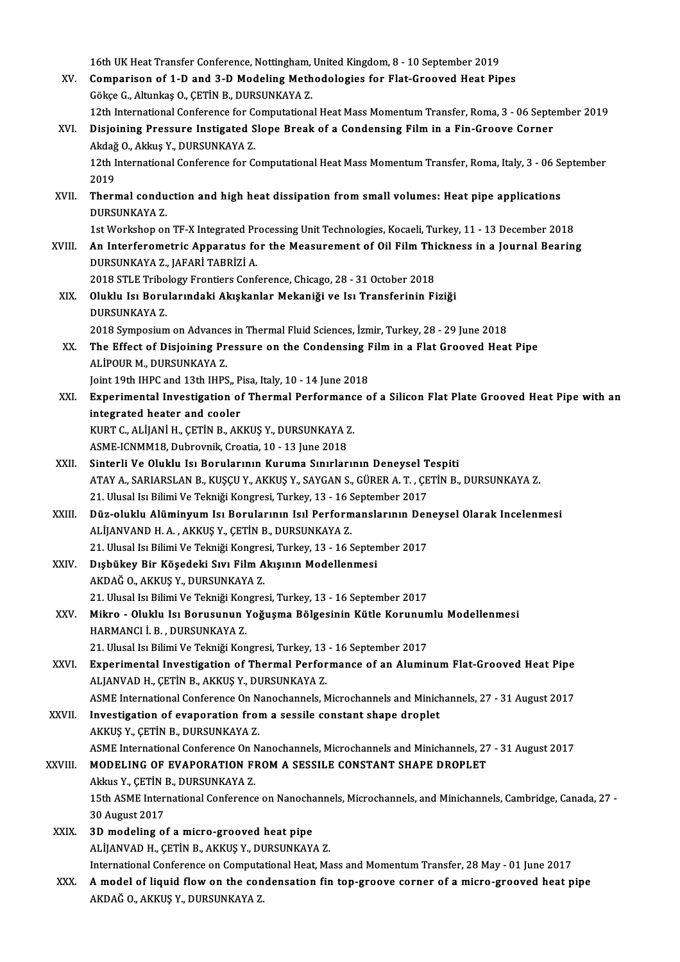16th UK Heat Transfer Conference, Nottingham, United Kingdom, 8 - 10 September 2019

- XV. Comparison of 1-D and 3-D Modeling Methodologies for Flat-Grooved Heat Pipes GökçeG.,AltunkaşO.,ÇETİNB.,DURSUNKAYAZ. Comparison of 1-D and 3-D Modeling Methodologies for Flat-Grooved Heat Pipes<br>Gökçe G., Altunkaş O., ÇETİN B., DURSUNKAYA Z.<br>12th International Conference for Computational Heat Mass Momentum Transfer, Roma, 3 - 06 Septembe
- XVI. Disjoining Pressure Instigated Slope Break of a Condensing Film in a Fin-Groove Corner<br>Akdağ O., Akkuş Y., DURSUNKAYA Z. 12th International Conference for Constructional Conference for Constructional Constructional Constructional Constructional Constructional Constructional Constructional Constructional Constructional Constructional Construc Disjoining Pressure Instigated Slope Break of a Condensing Film in a Fin-Groove Corner<br>Akdağ O., Akkuş Y., DURSUNKAYA Z.<br>12th International Conference for Computational Heat Mass Momentum Transfer, Roma, Italy, 3 - 06 Sept

Akdağ<br>12th I<br>2019<br>Therr 12th International Conference for Computational Heat Mass Momentum Transfer, Roma, Italy, 3 - 06 Se<br>2019<br>XVII. Thermal conduction and high heat dissipation from small volumes: Heat pipe applications<br>DIIBSUNKAVA 7

2019<br><mark>Thermal condu</mark><br>DURSUNKAYA Z.<br>1st Werkeben er Thermal conduction and high heat dissipation from small volumes: Heat pipe applications<br>DURSUNKAYA Z.<br>1st Workshop on TF-X Integrated Processing Unit Technologies, Kocaeli, Turkey, 11 - 13 December 2018<br>An Integforemetrie

1st Workshop on TF-X Integrated Processing Unit Technologies, Kocaeli, Turkey, 11 - 13 December 2018

DURSUNKAYA Z.<br>1st Workshop on TF-X Integrated Processing Unit Technologies, Kocaeli, Turkey, 11 - 13 December 2018<br>2018 XVIII. An Interferometric Apparatus for the Measurement of Oil Film Thickness in a Journal Bearing<br>201 An Interferometric Apparatus for the Measurement of Oil Film Thi<br>DURSUNKAYA Z., JAFARİ TABRİZİ A.<br>2018 STLE Tribology Frontiers Conference, Chicago, 28 - 31 October 2018<br>Oluklu Jay Perulanındaki Akıskanlar Makaniği ve Jay

XIX. Oluklu Isı Borularındaki Akışkanlar Mekaniği ve Isı Transferinin Fiziği 2018 STLE Tribo<br>Oluklu Isı Boru<br>DURSUNKAYA Z.<br>2018 Sumposium Oluklu Isı Borularındaki Akışkanlar Mekaniği ve Isı Transferinin Fiziği<br>DURSUNKAYA Z.<br>2018 Symposium on Advances in Thermal Fluid Sciences, İzmir, Turkey, 28 - 29 June 2018<br>The Effect of Disjoining Bressure on the Condensi

XX. The Effect of Disjoining Pressure on the Condensing Film in a Flat Grooved Heat Pipe<br>ALIPOUR M. DURSUNKAYA Z. 2018 Symposium on Advances<br>The Effect of Disjoining Pr<br>ALİPOUR M., DURSUNKAYA Z.<br>Jaint 10th JUPC and 12th JUPS The Effect of Disjoining Pressure on the Condensing F<br>ALİPOUR M., DURSUNKAYA Z.<br>Joint 19th IHPC and 13th IHPS,, Pisa, Italy, 10 - 14 June 2018<br>Eunonimental Investisation of Thormal Berformanse o

XXI. Experimental Investigation of Thermal Performance of a Silicon Flat Plate Grooved Heat Pipe with an Joint 19th IHPC and 13th IHPS,, P<br>Experimental Investigation of<br>integrated heater and cooler<br>FUPT C ALUANU L CETIN P AF Experimental Investigation of Thermal Performanc<br>integrated heater and cooler<br>KURT C., ALİJANİ H., ÇETİN B., AKKUŞ Y., DURSUNKAYA Z.<br>ASME ICNMM19. Dubrovnik Creatia 10, 13 June 2019 integrated heater and cooler<br>KURT C., ALİJANİ H., ÇETİN B., AKKUŞ Y., DURSUNKAYA 2<br>ASME-ICNMM18, Dubrovnik, Croatia, 10 - 13 June 2018<br>Sinterli V.e Oluklu Jsı Berularının Kuruma Sınırlar

- ASME-ICNMM18, Dubrovnik, Croatia, 10 13 June 2018<br>XXII. Sinterli Ve Oluklu Isı Borularının Kuruma Sınırlarının Deneysel Tespiti ASME-ICNMM18, Dubrovnik, Croatia, 10 - 13 June 2018<br>Sinterli Ve Oluklu Isı Borularının Kuruma Sınırlarının Deneysel Tespiti<br>ATAY A., SARIARSLAN B., KUŞÇU Y., AKKUŞ Y., SAYGAN S., GÜRER A. T. , ÇETİN B., DURSUNKAYA Z.<br>21 Ul Sinterli Ve Oluklu Isı Borularının Kuruma Sınırlarının Deneysel T<br>ATAY A., SARIARSLAN B., KUŞÇU Y., AKKUŞ Y., SAYGAN S., GÜRER A. T. , ÇE<br>21. Ulusal Isı Bilimi Ve Tekniği Kongresi, Turkey, 13 - 16 September 2017<br>Düz oluklu ATAY A., SARIARSLAN B., KUŞÇU Y., AKKUŞ Y., SAYGAN S., GÜRER A. T. , ÇETİN B., DURSUNKAYA Z.<br>21. Ulusal Isı Bilimi Ve Tekniği Kongresi, Turkey, 13 - 16 September 2017<br>XXIII. Düz-oluklu Alüminyum Isı Borularının Isıl Perfor
- 21. Ulusal Isı Bilimi Ve Tekniği Kongresi, Turkey, 13 16 September 2017<br>Düz-oluklu Alüminyum Isı Borularının Isıl Performanslarının Der<br>ALİJANVAND H.A., AKKUŞ Y., ÇETİN B., DURSUNKAYA Z.<br>21. Ulusal Isı Bilimi Ve Tekniği Düz-oluklu Alüminyum Isı Borularının Isıl Performanslarının Deneysel Olarak Incelenmesi
- XXIV. Dışbükey Bir Köşedeki Sıvı Film Akışının Modellenmesi AKDAĞO.,AKKUŞY.,DURSUNKAYAZ. 21. Ulusal Isı Bilimi Ve Tekniği Kongresi, Turkey, 13 - 16 September 2017
- AKDAĞ O., AKKUŞ Y., DURSUNKAYA Z.<br>21. Ulusal Isı Bilimi Ve Tekniği Kongresi, Turkey, 13 16 September 2017<br>XXV. Mikro Oluklu Isı Borusunun Yoğuşma Bölgesinin Kütle Korunumlu Modellenmesi 21. Ulusal Isı Bilimi Ve Tekniği Kon<br>Mikro - Oluklu Isı Borusunun !<br>HARMANCI İ. B. , DURSUNKAYA Z.<br>21. Illusal Isı Bilimi Ve Telmiği Kon Mikro - Oluklu Isı Borusunun Yoğuşma Bölgesinin Kütle Korunun<br>HARMANCI İ. B. , DURSUNKAYA Z.<br>21. Ulusal Isı Bilimi Ve Tekniği Kongresi, Turkey, 13 - 16 September 2017<br>Eunonimental Investisation of Thormal Berformanse of en
- HARMANCI İ. B. , DURSUNKAYA Z.<br>21. Ulusal Isı Bilimi Ve Tekniği Kongresi, Turkey, 13 16 September 2017<br>XXVI. Experimental Investigation of Thermal Performance of an Aluminum Flat-Grooved Heat Pipe 21. Ulusal Isı Bilimi Ve Tekniği Kongresi, Turkey, 13 - 16 September 2017<br>Experimental Investigation of Thermal Performance of an Aluminum Flat-Grooved Heat Pipe<br>ALJANVAD H., ÇETİN B., AKKUŞ Y., DURSUNKAYA Z.<br>ASME Internat Experimental Investigation of Thermal Performance of an Aluminum Flat-Grooved Heat Pipe<br>ALJANVAD H., ÇETİN B., AKKUŞ Y., DURSUNKAYA Z.<br>ASME International Conference On Nanochannels, Microchannels and Minichannels, 27 - 31

XXVII. Investigation of evaporation from a sessile constant shape droplet AKKUŞ Y., ÇETİN B., DURSUNKAYA Z. AKKUŞ Y., ÇETİN B., DURSUNKAYA Z.<br>ASME International Conference On Nanochannels, Microchannels and Minichannels, 27<br>XXVIII. MODELING OF EVAPORATION FROM A SESSILE CONSTANT SHAPE DROPLET

ASME International Conference On Nanochannels, Microchannels and Minichannels, 27 - 31 August 2017

## ASME International Conference On N<br>**MODELING OF EVAPORATION FI**<br>Akkus Y., ÇETİN B., DURSUNKAYA Z.<br>15th ASME International Conference

MODELING OF EVAPORATION FROM A SESSILE CONSTANT SHAPE DROPLET<br>Akkus Y., ÇETİN B., DURSUNKAYA Z.<br>15th ASME International Conference on Nanochannels, Microchannels, and Minichannels, Cambridge, Canada, 27 -<br>20 August 2017 Akkus Y., ÇETİN B., DURSUNKAYA Z.<br>15th ASME International Conference on Nanoch<br>30 August 2017<br>3D modeling of a micro-grooved heat pipe 15th ASME International Conference on Nanocha<br>30 August 2017<br>XXIX. 3D modeling of a micro-grooved heat pipe

- ALİJANVAD H., ÇETİN B., AKKUŞ Y., DURSUNKAYA Z. International Conference on Computational Heat, Mass and Momentum Transfer, 28 May - 01 June 2017 ALIJANVAD H., ÇETIN B., AKKUŞ Y., DURSUNKAYA Z.<br>International Conference on Computational Heat, Mass and Momentum Transfer, 28 May - 01 June 2017<br>XXX. A model of liquid flow on the condensation fin top-groove corner of a m
- International Conference on Computa<br><mark>A model of liquid flow on the con</mark><br>AKDAĞ O., AKKUŞ Y., DURSUNKAYA Z.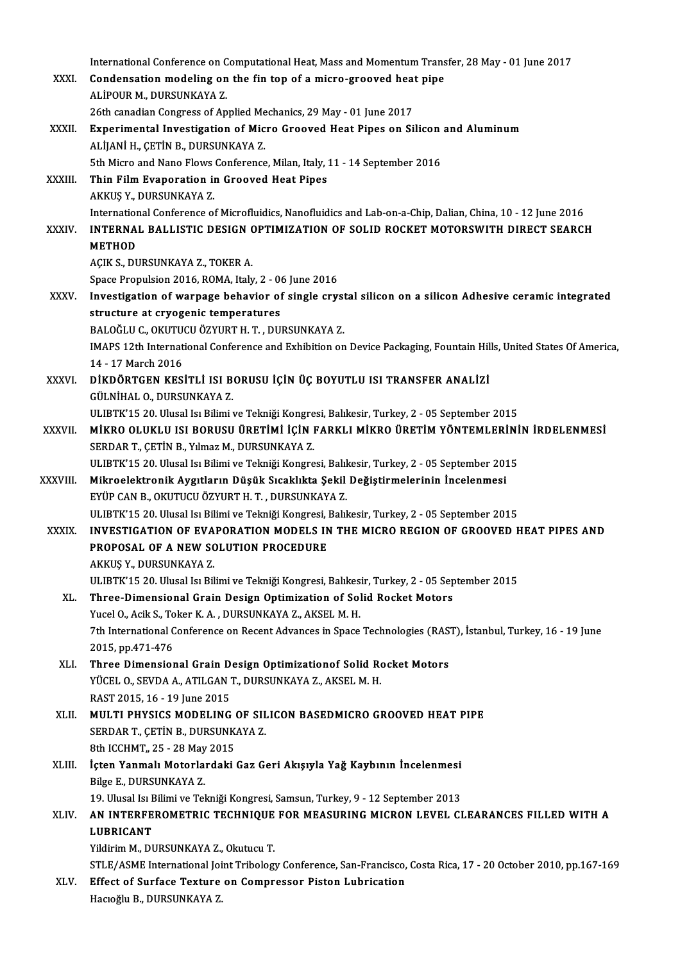|              | International Conference on Computational Heat, Mass and Momentum Transfer, 28 May - 01 June 2017                                                                                |
|--------------|----------------------------------------------------------------------------------------------------------------------------------------------------------------------------------|
| XXXI.        | Condensation modeling on the fin top of a micro-grooved heat pipe<br>ALİPOUR M., DURSUNKAYA Z.                                                                                   |
|              | 26th canadian Congress of Applied Mechanics, 29 May - 01 June 2017                                                                                                               |
| XXXII.       | Experimental Investigation of Micro Grooved Heat Pipes on Silicon and Aluminum                                                                                                   |
|              | ALIJANI H., ÇETIN B., DURSUNKAYA Z.                                                                                                                                              |
|              | 5th Micro and Nano Flows Conference, Milan, Italy, 11 - 14 September 2016                                                                                                        |
| XXXIII.      | Thin Film Evaporation in Grooved Heat Pipes                                                                                                                                      |
|              | AKKUŞ Y., DURSUNKAYA Z.                                                                                                                                                          |
|              | International Conference of Microfluidics, Nanofluidics and Lab-on-a-Chip, Dalian, China, 10 - 12 June 2016                                                                      |
| <b>XXXIV</b> | INTERNAL BALLISTIC DESIGN OPTIMIZATION OF SOLID ROCKET MOTORSWITH DIRECT SEARCH                                                                                                  |
|              | <b>METHOD</b>                                                                                                                                                                    |
|              | AÇIK S., DURSUNKAYA Z., TOKER A.                                                                                                                                                 |
| <b>XXXV</b>  | Space Propulsion 2016, ROMA, Italy, 2 - 06 June 2016<br>Investigation of warpage behavior of single crystal silicon on a silicon Adhesive ceramic integrated                     |
|              | structure at cryogenic temperatures                                                                                                                                              |
|              | BALOĞLU C., OKUTUCU ÖZYURT H. T., DURSUNKAYA Z.                                                                                                                                  |
|              | IMAPS 12th International Conference and Exhibition on Device Packaging, Fountain Hills, United States Of America,                                                                |
|              | 14 - 17 March 2016                                                                                                                                                               |
| <b>XXXVI</b> | DİKDÖRTGEN KESİTLİ ISI BORUSU İÇİN ÜÇ BOYUTLU ISI TRANSFER ANALİZİ                                                                                                               |
|              | GÜLNİHAL O., DURSUNKAYA Z.                                                                                                                                                       |
|              | ULIBTK'15 20. Ulusal Isı Bilimi ve Tekniği Kongresi, Balıkesir, Turkey, 2 - 05 September 2015                                                                                    |
| XXXVII.      | MİKRO OLUKLU ISI BORUSU ÜRETİMİ İÇİN FARKLI MİKRO ÜRETİM YÖNTEMLERİNİN İRDELENMESİ                                                                                               |
|              | SERDAR T., ÇETİN B., Yılmaz M., DURSUNKAYA Z.                                                                                                                                    |
| XXXVIII.     | ULIBTK'15 20. Ulusal Isı Bilimi ve Tekniği Kongresi, Balıkesir, Turkey, 2 - 05 September 2015<br>Mikroelektronik Aygıtların Düşük Sıcaklıkta Şekil Değiştirmelerinin İncelenmesi |
|              | EYÜP CAN B., OKUTUCU ÖZYURT H. T., DURSUNKAYA Z.                                                                                                                                 |
|              | ULIBTK'15 20. Ulusal Isı Bilimi ve Tekniği Kongresi, Balıkesir, Turkey, 2 - 05 September 2015                                                                                    |
| <b>XXXIX</b> | INVESTIGATION OF EVAPORATION MODELS IN THE MICRO REGION OF GROOVED HEAT PIPES AND                                                                                                |
|              | PROPOSAL OF A NEW SOLUTION PROCEDURE                                                                                                                                             |
|              | AKKUŞ Y., DURSUNKAYA Z.                                                                                                                                                          |
|              | ULIBTK'15 20. Ulusal Isı Bilimi ve Tekniği Kongresi, Balıkesir, Turkey, 2 - 05 September 2015                                                                                    |
| XL.          | Three-Dimensional Grain Design Optimization of Solid Rocket Motors                                                                                                               |
|              | Yucel O., Acik S., Toker K. A., DURSUNKAYA Z., AKSEL M. H.<br>7th International Conference on Recent Advances in Space Technologies (RAST), İstanbul, Turkey, 16 - 19 June       |
|              | 2015, pp 471-476                                                                                                                                                                 |
| XLI.         | Three Dimensional Grain Design Optimizationof Solid Rocket Motors                                                                                                                |
|              | YÜCEL O., SEVDA A., ATILGAN T., DURSUNKAYA Z., AKSEL M. H.                                                                                                                       |
|              | RAST 2015, 16 - 19 June 2015                                                                                                                                                     |
| XLII.        | MULTI PHYSICS MODELING OF SILICON BASEDMICRO GROOVED HEAT PIPE                                                                                                                   |
|              | SERDAR T., ÇETİN B., DURSUNKAYA Z.                                                                                                                                               |
|              | 8th ICCHMT, 25 - 28 May 2015                                                                                                                                                     |
| XLIII.       | İçten Yanmalı Motorlardaki Gaz Geri Akışıyla Yağ Kaybının İncelenmesi                                                                                                            |
|              | Bilge E, DURSUNKAYA Z                                                                                                                                                            |
| XLIV.        | 19. Ulusal Isı Bilimi ve Tekniği Kongresi, Samsun, Turkey, 9 - 12 September 2013<br>AN INTERFEROMETRIC TECHNIQUE FOR MEASURING MICRON LEVEL CLEARANCES FILLED WITH A             |
|              | <b>LUBRICANT</b>                                                                                                                                                                 |
|              | Yildirim M., DURSUNKAYA Z., Okutucu T.                                                                                                                                           |
|              | STLE/ASME International Joint Tribology Conference, San-Francisco, Costa Rica, 17 - 20 October 2010, pp.167-169                                                                  |
| XLV.         | Effect of Surface Texture on Compressor Piston Lubrication                                                                                                                       |
|              | Hacıoğlu B., DURSUNKAYA Z.                                                                                                                                                       |
|              |                                                                                                                                                                                  |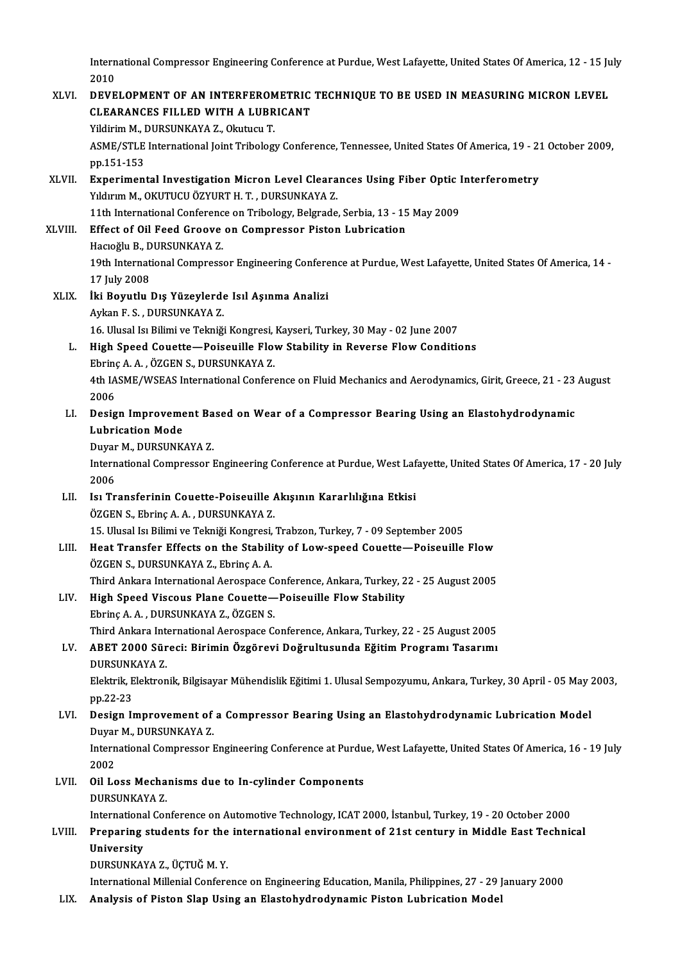International Compressor Engineering Conference at Purdue, West Lafayette, United States Of America, 12 - 15 July<br>2010 Intern<br>2010<br>DEVE

### International Compressor Engineering Conference at Purdue, West Lafayette, United States Of America, 12 - 15 Ju<br>2010<br>XLVI. DEVELOPMENT OF AN INTERFEROMETRIC TECHNIQUE TO BE USED IN MEASURING MICRON LEVEL 2010<br>DEVELOPMENT OF AN INTERFEROMETRIC<br>CLEARANCES FILLED WITH A LUBRICANT<br>Vildinim M. DUBSUNKAVA 7, Okutugu T DEVELOPMENT OF AN INTERFEROM<br>CLEARANCES FILLED WITH A LUBR<br>Yildirim M., DURSUNKAYA Z., Okutucu T.<br>ASME/STI E International Ioint Tribology CLEARANCES FILLED WITH A LUBRICANT<br>Yildirim M., DURSUNKAYA Z., Okutucu T.<br>ASME/STLE International Joint Tribology Conference, Tennessee, United States Of America, 19 - 21 October 2009,<br>pp.151-153 Yildirim M., DURSUNKAYA Z., Okutucu T. ASME/STLE International Joint Tribology Conference, Tennessee, United States Of America, 19 - 2:<br>pp.151-153<br>XLVII. Experimental Investigation Micron Level Clearances Using Fiber Optic Interferometry<br>Veloum M. OVUTUCU ÖZVUP pp.151-153<br><mark>Experimental Investigation Micron Level Cleara</mark><br>Yıldırım M., OKUTUCU ÖZYURT H. T. , DURSUNKAYA Z.<br>11th International Conference en Tribolegy, Belgrade Yıldırım M., OKUTUCU ÖZYURT H. T., DURSUNKAYA Z.<br>11th International Conference on Tribology, Belgrade, Serbia, 13 - 15 May 2009 Yıldırım M., OKUTUCU ÖZYURT H. T. , DURSUNKAYA Z.<br>11th International Conference on Tribology, Belgrade, Serbia, 13 - 15<br>XLVIII. Effect of Oil Feed Groove on Compressor Piston Lubrication<br>Hesteriu B. DURSUNKAYA Z. 11th International Conferenc<br>Effect of Oil Feed Groove<br>Hacıoğlu B., DURSUNKAYA Z.<br>10th International Compress Hacıoğlu B., DURSUNKAYA Z.<br>19th International Compressor Engineering Conference at Purdue, West Lafayette, United States Of America, 14 -17 July2008 19th International Compressor Engineering Confere<br>17 July 2008<br>XLIX. İki Boyutlu Dış Yüzeylerde Isıl Aşınma Analizi 17 July 2008<br>İki Boyutlu Dış Yüzeylerde<br>Aykan F. S. , DURSUNKAYA Z.<br>16 Hlusal Ja Bilimi ve Telmiği İki Boyutlu Dış Yüzeylerde Isıl Aşınma Analizi<br>Aykan F. S. , DURSUNKAYA Z.<br>16. Ulusal Isı Bilimi ve Tekniği Kongresi, Kayseri, Turkey, 30 May - 02 June 2007<br>Hish Speed Couette - Peiseville Flow Stebility in Boyerse Flow Co Aykan F. S. , DURSUNKAYA Z.<br>16. Ulusal Isı Bilimi ve Tekniği Kongresi, Kayseri, Turkey, 30 May - 02 June 2007<br>1. High Speed Couette—Poiseuille Flow Stability in Reverse Flow Conditions<br>Ebrinç A. A. , ÖZGEN S., DURSUNKAYA Z 16. Ulusal Isı Bilimi ve Tekniği Kongresi,<br>High Speed Couette—Poiseuille Flov<br>Ebrinç A. A. , ÖZGEN S., DURSUNKAYA Z.<br>4th JASME (WSEAS International Conform High Speed Couette—Poiseuille Flow Stability in Reverse Flow Conditions<br>Ebrinç A. A. , ÖZGEN S., DURSUNKAYA Z.<br>4th IASME/WSEAS International Conference on Fluid Mechanics and Aerodynamics, Girit, Greece, 21 - 23 August<br>200 Ebring<br>4th IA<br>2006<br>Desig 4th IASME/WSEAS International Conference on Fluid Mechanics and Aerodynamics, Girit, Greece, 21 - 23<br>2006<br>LI. Design Improvement Based on Wear of a Compressor Bearing Using an Elastohydrodynamic<br>Inhrigation Mode 2006<br>Design Improveme<br>Lubrication Mode<br>Duver M. DURSUNK Design Improvement Ba<br>Lubrication Mode<br>Duyar M., DURSUNKAYA Z.<br>International Compressor I Lubrication Mode<br>Duyar M., DURSUNKAYA Z.<br>International Compressor Engineering Conference at Purdue, West Lafayette, United States Of America, 17 - 20 July<br>2006 Duyar M., DURSUNKAYA Z. International Compressor Engineering Conference at Purdue, West Laf<br>2006<br>LII. Isı Transferinin Couette-Poiseuille Akışının Kararlılığına Etkisi<br>ÖZCEN S. Ehring A.A. DURSUNKAYA Z 2006<br>Isı Transferinin Couette-Poiseuille<br>ÖZGEN S., Ebrinç A. A. , DURSUNKAYA Z.<br>15. Ulucel Isı Bilimi ve Telmiği Kongresi Isı Transferinin Couette-Poiseuille Akışının Kararlılığına Etkisi<br>ÖZGEN S., Ebrinç A. A. , DURSUNKAYA Z.<br>15. Ulusal Isı Bilimi ve Tekniği Kongresi, Trabzon, Turkey, 7 - 09 September 2005<br>Heet Transfor Effects on the Stabil ÖZGEN S., Ebrinç A. A., DURSUNKAYA Z.<br>15. Ulusal Isi Bilimi ve Tekniği Kongresi, Trabzon, Turkey, 7 - 09 September 2005<br>LIII. Heat Transfer Effects on the Stability of Low-speed Couette—Poiseuille Flow<br>ÖZGEN S., DURSUNKAYA 15. Ulusal Isı Bilimi ve Tekniği Kongresi,<br>Heat Transfer Effects on the Stabili<br>ÖZGEN S., DURSUNKAYA Z., Ebrinç A. A.<br>Third Ankara International Aerospace C Heat Transfer Effects on the Stability of Low-speed Couette—Poiseuille Flow<br>ÖZGEN S., DURSUNKAYA Z., Ebrinç A. A.<br>Third Ankara International Aerospace Conference, Ankara, Turkey, 22 - 25 August 2005<br>High Speed Visseus Plan LIV. High Speed Viscous Plane Couette—Poiseuille Flow Stability<br>Ebrinç A. A., DURSUNKAYA Z., ÖZGEN S. Third Ankara International Aerospace C<br>High Speed Viscous Plane Couette—<br>Ebrinç A. A. , DURSUNKAYA Z., ÖZGEN S.<br>Third Ankara International Aerospace C High Speed Viscous Plane Couette—Poiseuille Flow Stability<br>Ebrinç A. A. , DURSUNKAYA Z., ÖZGEN S.<br>Third Ankara International Aerospace Conference, Ankara, Turkey, 22 - 25 August 2005<br>APET 2000 Sünesi: Pirimin Özgönevi Değm LV. ABET 2000 Süreci: Birimin Özgörevi Doğrultusunda Eğitim Programı Tasarımı DURSUNKAYA Z. Third Ankara Int<mark><br>ABET 2000 Sür</mark><br>DURSUNKAYA Z.<br>Elektrik Elektron ABET 2000 Süreci: Birimin Özgörevi Doğrultusunda Eğitim Programı Tasarımı<br>DURSUNKAYA Z.<br>Elektrik, Elektronik, Bilgisayar Mühendislik Eğitimi 1. Ulusal Sempozyumu, Ankara, Turkey, 30 April - 05 May 2003,<br>nn <sup>22-22</sup> DURSUNK<br>Elektrik, E<br>pp.22-23<br>Dosian J Elektrik, Elektronik, Bilgisayar Mühendislik Eğitimi 1. Ulusal Sempozyumu, Ankara, Turkey, 30 April - 05 May 2<br>pp.22-23<br>LVI. Design Improvement of a Compressor Bearing Using an Elastohydrodynamic Lubrication Model pp.22-23<br>Design Improvement of<br>Duyar M., DURSUNKAYA Z.<br>International Compressor I Design Improvement of a Compressor Bearing Using an Elastohydrodynamic Lubrication Model<br>Duyar M., DURSUNKAYA Z.<br>International Compressor Engineering Conference at Purdue, West Lafayette, United States Of America, 16 - 19 Duyar<br>Intern<br>2002<br>Oil Le International Compressor Engineering Conference at Purdu<br>2002<br>LVII. Oil Loss Mechanisms due to In-cylinder Components<br>DURSINKAVA 7 2002<br>LVII. Oil Loss Mechanisms due to In-cylinder Components<br>DURSUNKAYA Z. Oil Loss Mechanisms due to In-cylinder Components<br>DURSUNKAYA Z.<br>International Conference on Automotive Technology, ICAT 2000, İstanbul, Turkey, 19 - 20 October 2000<br>Prenaring students for the international envirorment of 2 DURSUNKAYA Z.<br>International Conference on Automotive Technology, ICAT 2000, İstanbul, Turkey, 19 - 20 October 2000<br>LVIII. Preparing students for the international environment of 21st century in Middle East Technical Internationa<br>Preparing<br>University<br>DURSUNKAN Preparing students for the<br>University<br>DURSUNKAYA Z., ÜÇTUĞ M. Y.<br>International Millenial Confere University<br>DURSUNKAYA Z., ÜÇTUĞ M. Y.<br>International Millenial Conference on Engineering Education, Manila, Philippines, 27 - 29 January 2000

LIX. Analysis of Piston Slap Using an Elastohydrodynamic Piston Lubrication Model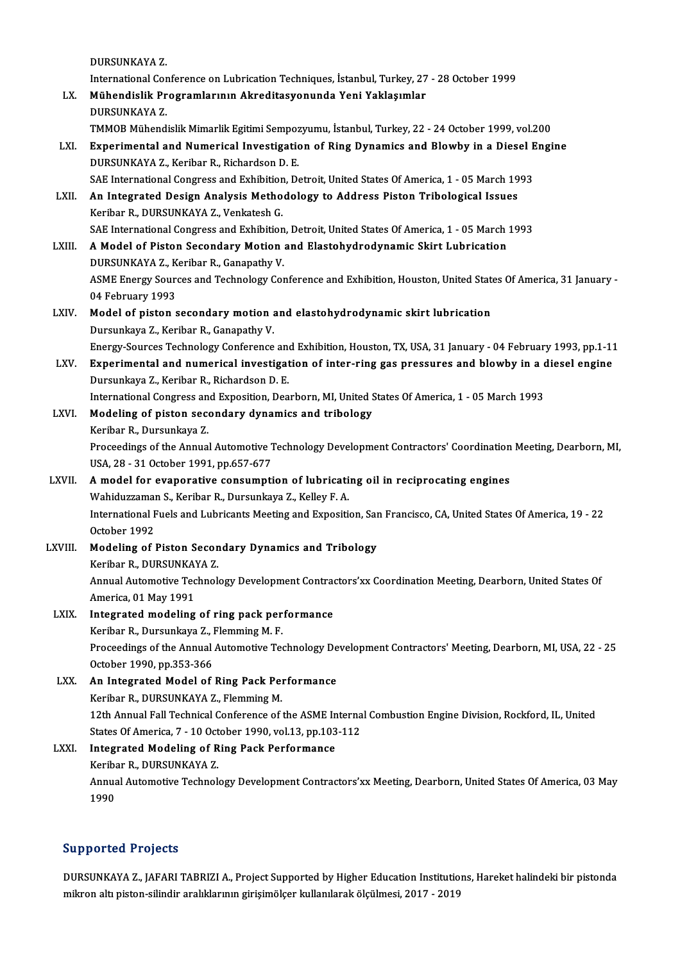DURSUNKAYAZ.

DURSUNKAYA Z.<br>International Conference on Lubrication Techniques, İstanbul, Turkey, 27 - 28 October 1999<br>Mühandialik Programlarının Akraditasyonunda Yani Yaklasımlar

- DURSUNKAYA Z.<br>International Conference on Lubrication Techniques, İstanbul, Turkey, 27<br>LX. Mühendislik Programlarının Akreditasyonunda Yeni Yaklaşımlar<br>DURSUNKAYA 7 International Cor<br><mark>Mühendislik Pr</mark><br>DURSUNKAYA Z.<br>TMMOP Mühand Mühendislik Programlarının Akreditasyonunda Yeni Yaklaşımlar<br>DURSUNKAYA Z.<br>TMMOB Mühendislik Mimarlik Egitimi Sempozyumu, İstanbul, Turkey, 22 - 24 October 1999, vol.200<br>Exporimental and Numerical Investigation of Bing Dun
	-
- DURSUNKAYA Z.<br>TMMOB Mühendislik Mimarlik Egitimi Sempozyumu, İstanbul, Turkey, 22 24 October 1999, vol.200<br>LXI. Experimental and Numerical Investigation of Ring Dynamics and Blowby in a Diesel Engine<br>DIIRSUNKAYA Z. Korib TMMOB Mühendislik Mimarlik Egitimi Sempoz<br>Experimental and Numerical Investigation<br>DURSUNKAYA Z., Keribar R., Richardson D. E.<br>SAE International Congress and Exhibition, D. Experimental and Numerical Investigation of Ring Dynamics and Blowby in a Diesel E<br>DURSUNKAYA Z., Keribar R., Richardson D. E.<br>SAE International Congress and Exhibition, Detroit, United States Of America, 1 - 05 March 1993 DURSUNKAYA Z., Keribar R., Richardson D. E.<br>SAE International Congress and Exhibition, Detroit, United States Of America, 1 - 05 March 1993<br>LXII. An Integrated Design Analysis Methodology to Address Piston Tribological Iss
- Keribar R., DURSUNKAYA Z., Venkatesh G. An Integrated Design Analysis Methodology to Address Piston Tribological Issues<br>Keribar R., DURSUNKAYA Z., Venkatesh G.<br>SAE International Congress and Exhibition, Detroit, United States Of America, 1 - 05 March 1993<br>A Mode
- Keribar R., DURSUNKAYA Z., Venkatesh G.<br>SAE International Congress and Exhibition, Detroit, United States Of America, 1 05 March<br>LXIII. A Model of Piston Secondary Motion and Elastohydrodynamic Skirt Lubrication LXIII. A Model of Piston Secondary Motion and Elastohydrodynamic Skirt Lubrication<br>DURSUNKAYA Z., Keribar R., Ganapathy V. A Model of Piston Secondary Motion and Elastohydrodynamic Skirt Lubrication<br>DURSUNKAYA Z., Keribar R., Ganapathy V.<br>ASME Energy Sources and Technology Conference and Exhibition, Houston, United States Of America, 31 Januar DURSUNKAYA Z., K<br>ASME Energy Soure<br>04 February 1993<br>Model of nisten c
- ASME Energy Sources and Technology Conference and Exhibition, Houston, United State<br>04 February 1993<br>LXIV. Model of piston secondary motion and elastohydrodynamic skirt lubrication<br>Dursunksus 7, Koribar B, Cananathy V. 04 February 1993<br>Model of piston secondary motion and elastohydrodynamic skirt lubrication<br>Dursunkaya Z., Keribar R., Ganapathy V.

Energy-Sources Technology Conference and Exhibition, Houston, TX, USA, 31 January - 04 February 1993, pp.1-11

Dursunkaya Z., Keribar R., Ganapathy V.<br>Energy-Sources Technology Conference and Exhibition, Houston, TX, USA, 31 January - 04 February 1993, pp.1-11<br>LXV. Experimental and numerical investigation of inter-ring gas pressure Energy-Sources Technology Conference and<br>Experimental and numerical investigat<br>Dursunkaya Z., Keribar R., Richardson D.E.<br>International Congress and Eunesition Des Experimental and numerical investigation of inter-ring gas pressures and blowby in a c<br>Dursunkaya Z., Keribar R., Richardson D. E.<br>International Congress and Exposition, Dearborn, MI, United States Of America, 1 - 05 March

International Congress and Exposition, Dearborn, MI, United States Of America, 1 - 05 March 1993

Dursunkaya Z., Keribar R., Richardson D. E.<br>International Congress and Exposition, Dearborn, MI, United :<br>LXVI. Modeling of piston secondary dynamics and tribology<br>Keribar R., Dursunkaya Z. Modeling of piston secondary dynamics and tribology<br>Keribar R., Dursunkaya Z.<br>Proceedings of the Annual Automotive Technology Development Contractors' Coordination Meeting, Dearborn, MI,<br>USA 28 - 31 October 1991 pp.657.677

Keribar R., Dursunkaya Z.<br>Proceedings of the Annual Automotive 1<br>USA, 28 - 31 October 1991, pp.657-677<br>A model for evenerative consumpti Proceedings of the Annual Automotive Technology Development Contractors' Coordination<br>USA, 28 - 31 October 1991, pp.657-677<br>LXVII. A model for evaporative consumption of lubricating oil in reciprocating engines<br>Webiduggene

### USA, 28 - 31 October 1991, pp.657-677<br>A model for evaporative consumption of lubricati<br>Wahiduzzaman S., Keribar R., Dursunkaya Z., Kelley F. A.<br>International Eucle and Lubricante Meeting and Eunesiti A model for evaporative consumption of lubricating oil in reciprocating engines<br>Wahiduzzaman S., Keribar R., Dursunkaya Z., Kelley F. A.<br>International Fuels and Lubricants Meeting and Exposition, San Francisco, CA, United Wahiduzzaman S., Keribar R., Dursunkaya Z., Kelley F. A.<br>International Fuels and Lubricants Meeting and Exposition

- International Fuels and Lubricants Meeting and Exposition, Sar<br>October 1992<br>LXVIII. Modeling of Piston Secondary Dynamics and Tribology<br>Veriber B. DUBSUNKANA 7 Modeling of Piston Secondary Dynamics and Tribology<br>Keribar R., DURSUNKAYA Z.
	-

Modeling of Piston Secondary Dynamics and Tribology<br>Keribar R., DURSUNKAYA Z.<br>Annual Automotive Technology Development Contractors'xx Coordination Meeting, Dearborn, United States Of<br>America 01 Mev 1991 Keribar R., DURSUNKA<br>Annual Automotive Tec<br>America, 01 May 1991<br>Integrated modeling Annual Automotive Technology Development Contractors<br>America, 01 May 1991<br>LXIX. Integrated modeling of ring pack performance<br>Karibar B. Duraunkaya 7. Elemning M. E

America, 01 May 1991<br>Integrated modeling of ring pack per<br>Keribar R., Dursunkaya Z., Flemming M. F.<br>Preseedings of the Annual Automative Te Integrated modeling of ring pack performance<br>Keribar R., Dursunkaya Z., Flemming M. F.<br>Proceedings of the Annual Automotive Technology Development Contractors' Meeting, Dearborn, MI, USA, 22 - 25<br>October 1990, pp.353-366 Keribar R., Dursunkaya Z., l<br>Proceedings of the Annual<br>October 1990, pp.353-366<br>An Integrated Model of Proceedings of the Annual Automotive Technology De<br>October 1990, pp.353-366<br>LXX. An Integrated Model of Ring Pack Performance<br>Keribar B. DUBSUNKAVA 7. Flamming M

October 1990, pp.353-366<br>An Integrated Model of Ring Pack Per<br>Keribar R., DURSUNKAYA Z., Flemming M.<br>12th Annual Fall Technical Conference of . Keribar R., DURSUNKAYA Z., Flemming M.<br>12th Annual Fall Technical Conference of the ASME Internal Combustion Engine Division, Rockford, IL, United Keribar R., DURSUNKAYA Z., Flemming M.<br>12th Annual Fall Technical Conference of the ASME Interna<br>States Of America, 7 - 10 October 1990, vol.13, pp.103-112<br>Integrated Modeling of Bing Back Berformance

### LXXI. Integrated Modeling of Ring Pack Performance States Of America, 7 - 10 Oct<br>Integrated Modeling of R<br>Keribar R., DURSUNKAYA Z.<br>Annual Automotive Technol. Annual Automotive Technology Development Contractors'xx Meeting, Dearborn, United States Of America, 03 May<br>1990 Keribar R., DURSUNKAYA Z.

### Supported Projects

DURSUNKAYA Z., JAFARI TABRIZI A., Project Supported by Higher Education Institutions, Hareket halindeki bir pistonda mikronaltıpiston-silindir aralıklarınıngirişimölçer kulanılarakölçülmesi,2017 -2019